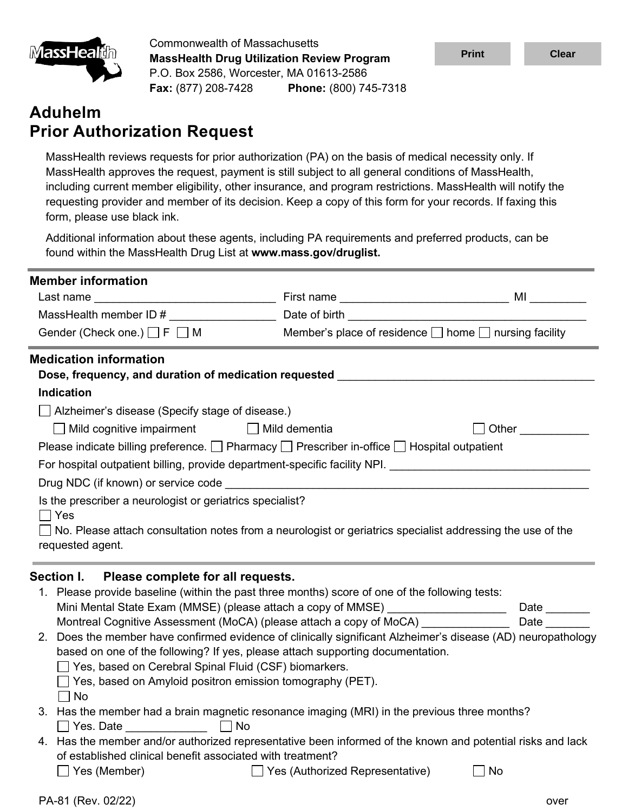

Commonwealth of Massachusetts **MassHealth Drug Utilization Review Program** P.O. Box 2586, Worcester, MA 01613-2586 **Fax:** (877) 208-7428 **Phone:** (800) 745-7318

## **Aduhelm Prior Authorization Request**

| <u> IWIASSHealun</u>                                                                        | <b>MassHealth Drug Utilization Review Program</b>                                                                                                                                                                             |                                                                                                                                                                                                                                                                                                                                                                                                                                                                                                                                                                                                                                                                                        | <b>Print</b> | <b>Clear</b>                                   |
|---------------------------------------------------------------------------------------------|-------------------------------------------------------------------------------------------------------------------------------------------------------------------------------------------------------------------------------|----------------------------------------------------------------------------------------------------------------------------------------------------------------------------------------------------------------------------------------------------------------------------------------------------------------------------------------------------------------------------------------------------------------------------------------------------------------------------------------------------------------------------------------------------------------------------------------------------------------------------------------------------------------------------------------|--------------|------------------------------------------------|
|                                                                                             |                                                                                                                                                                                                                               | P.O. Box 2586, Worcester, MA 01613-2586<br>Fax: (877) 208-7428 Phone: (800) 745-7318                                                                                                                                                                                                                                                                                                                                                                                                                                                                                                                                                                                                   |              |                                                |
| <b>Aduhelm</b>                                                                              | <b>Prior Authorization Request</b>                                                                                                                                                                                            |                                                                                                                                                                                                                                                                                                                                                                                                                                                                                                                                                                                                                                                                                        |              |                                                |
| form, please use black ink.                                                                 |                                                                                                                                                                                                                               | MassHealth reviews requests for prior authorization (PA) on the basis of medical necessity only. If<br>MassHealth approves the request, payment is still subject to all general conditions of MassHealth,<br>including current member eligibility, other insurance, and program restrictions. MassHealth will notify the<br>requesting provider and member of its decision. Keep a copy of this form for your records. If faxing this                                                                                                                                                                                                                                                  |              |                                                |
|                                                                                             | found within the MassHealth Drug List at www.mass.gov/druglist.                                                                                                                                                               | Additional information about these agents, including PA requirements and preferred products, can be                                                                                                                                                                                                                                                                                                                                                                                                                                                                                                                                                                                    |              |                                                |
| <b>Member information</b>                                                                   |                                                                                                                                                                                                                               |                                                                                                                                                                                                                                                                                                                                                                                                                                                                                                                                                                                                                                                                                        |              |                                                |
|                                                                                             |                                                                                                                                                                                                                               |                                                                                                                                                                                                                                                                                                                                                                                                                                                                                                                                                                                                                                                                                        |              |                                                |
|                                                                                             |                                                                                                                                                                                                                               |                                                                                                                                                                                                                                                                                                                                                                                                                                                                                                                                                                                                                                                                                        |              |                                                |
|                                                                                             |                                                                                                                                                                                                                               | Gender (Check one.) $\Box$ F $\Box$ M Member's place of residence $\Box$ home $\Box$ nursing facility                                                                                                                                                                                                                                                                                                                                                                                                                                                                                                                                                                                  |              |                                                |
| <b>Medication information</b><br><b>Indication</b><br>Yes<br>requested agent.<br>Section I. | $\Box$ Alzheimer's disease (Specify stage of disease.)<br>□ Mild cognitive impairment □ Mild dementia<br>Is the prescriber a neurologist or geriatrics specialist?<br>Please complete for all requests.                       | Dose, frequency, and duration of medication requested <b>container the control of the control of the control of the control of the control of the control of the control of the control of the control of the control of the con</b><br>Please indicate billing preference. $\Box$ Pharmacy $\Box$ Prescriber in-office $\Box$ Hospital outpatient<br>For hospital outpatient billing, provide department-specific facility NPI.<br>No. Please attach consultation notes from a neurologist or geriatrics specialist addressing the use of the                                                                                                                                         |              | Other ________                                 |
| No<br>$\Box$ Yes. Date                                                                      | Yes, based on Cerebral Spinal Fluid (CSF) biomarkers.<br>$\Box$ Yes, based on Amyloid positron emission tomography (PET).<br><b>No</b><br><u> Alban Maria (</u><br>of established clinical benefit associated with treatment? | 1. Please provide baseline (within the past three months) score of one of the following tests:<br>Mini Mental State Exam (MMSE) (please attach a copy of MMSE) ___________________<br>Montreal Cognitive Assessment (MoCA) (please attach a copy of MoCA) ____________<br>2. Does the member have confirmed evidence of clinically significant Alzheimer's disease (AD) neuropathology<br>based on one of the following? If yes, please attach supporting documentation.<br>3. Has the member had a brain magnetic resonance imaging (MRI) in the previous three months?<br>4. Has the member and/or authorized representative been informed of the known and potential risks and lack |              | Date $\_\_\_\_\_\_\_\_\_\_\_\_$<br><b>Date</b> |
| Yes (Member)                                                                                |                                                                                                                                                                                                                               | □ Yes (Authorized Representative)                                                                                                                                                                                                                                                                                                                                                                                                                                                                                                                                                                                                                                                      | No           |                                                |
| PA-81 (Rev. 02/22)                                                                          |                                                                                                                                                                                                                               |                                                                                                                                                                                                                                                                                                                                                                                                                                                                                                                                                                                                                                                                                        |              | over                                           |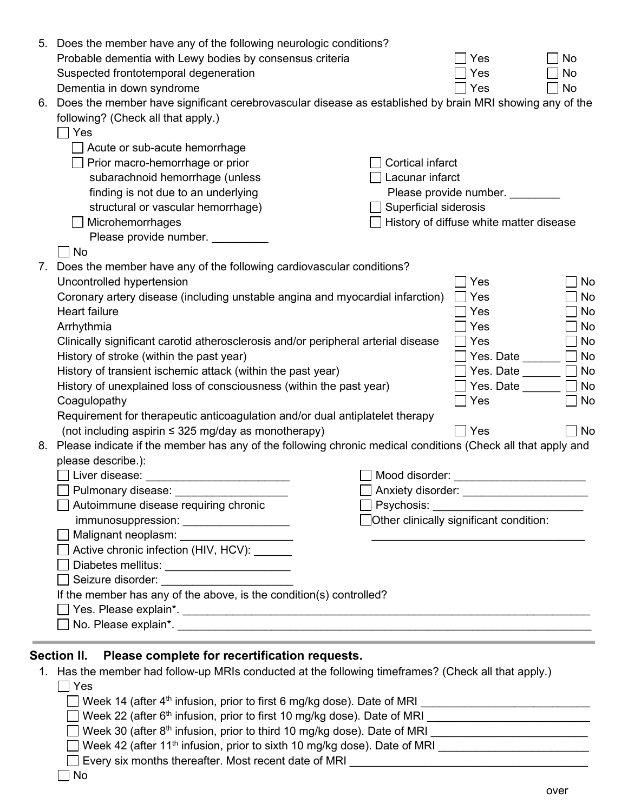|    | 5. Does the member have any of the following neurologic conditions?                                            |                         |                                         |    |
|----|----------------------------------------------------------------------------------------------------------------|-------------------------|-----------------------------------------|----|
|    | Probable dementia with Lewy bodies by consensus criteria                                                       |                         | Yes                                     | No |
|    | Suspected frontotemporal degeneration                                                                          |                         | Yes                                     | No |
|    | Dementia in down syndrome                                                                                      |                         | Yes                                     | No |
|    | 6. Does the member have significant cerebrovascular disease as established by brain MRI showing any of the     |                         |                                         |    |
|    | following? (Check all that apply.)                                                                             |                         |                                         |    |
|    | Yes                                                                                                            |                         |                                         |    |
|    | Acute or sub-acute hemorrhage                                                                                  |                         |                                         |    |
|    | Prior macro-hemorrhage or prior                                                                                | <b>Cortical infarct</b> |                                         |    |
|    | subarachnoid hemorrhage (unless                                                                                | Lacunar infarct         |                                         |    |
|    | finding is not due to an underlying                                                                            |                         | Please provide number.                  |    |
|    | structural or vascular hemorrhage)                                                                             | Superficial siderosis   |                                         |    |
|    | Microhemorrhages                                                                                               |                         | History of diffuse white matter disease |    |
|    | Please provide number. ____                                                                                    |                         |                                         |    |
|    | No                                                                                                             |                         |                                         |    |
| 7. | Does the member have any of the following cardiovascular conditions?                                           |                         |                                         |    |
|    | Uncontrolled hypertension                                                                                      |                         | Yes                                     | No |
|    | Coronary artery disease (including unstable angina and myocardial infarction)                                  |                         | Yes                                     | No |
|    | <b>Heart failure</b>                                                                                           |                         | Yes                                     | No |
|    | Arrhythmia                                                                                                     |                         | Yes                                     | No |
|    | Clinically significant carotid atherosclerosis and/or peripheral arterial disease                              |                         | Yes                                     | No |
|    | History of stroke (within the past year)                                                                       |                         | Yes. Date                               | No |
|    | History of transient ischemic attack (within the past year)                                                    |                         | Yes. Date                               | No |
|    | History of unexplained loss of consciousness (within the past year)                                            |                         | Yes. Date                               | No |
|    | Coagulopathy                                                                                                   |                         | Yes                                     | No |
|    | Requirement for therapeutic anticoagulation and/or dual antiplatelet therapy                                   |                         |                                         |    |
|    | (not including aspirin $\leq$ 325 mg/day as monotherapy)                                                       |                         | Yes                                     | No |
|    | 8. Please indicate if the member has any of the following chronic medical conditions (Check all that apply and |                         |                                         |    |
|    | please describe.):                                                                                             |                         |                                         |    |
|    | Liver disease:                                                                                                 | Mood disorder:          |                                         |    |
|    | Pulmonary disease:                                                                                             | Anxiety disorder:       |                                         |    |
|    | Autoimmune disease requiring chronic                                                                           |                         | Psychosis: <b>Example 2019</b>          |    |
|    | immunosuppression: ____________________                                                                        |                         | Other clinically significant condition: |    |
|    | Malignant neoplasm: National Section of the Malignant neoplasm:                                                |                         |                                         |    |
|    | Active chronic infection (HIV, HCV): ______                                                                    |                         |                                         |    |
|    | Diabetes mellitus: _______________________                                                                     |                         |                                         |    |
|    |                                                                                                                |                         |                                         |    |
|    | If the member has any of the above, is the condition(s) controlled?                                            |                         |                                         |    |
|    |                                                                                                                |                         |                                         |    |
|    |                                                                                                                |                         |                                         |    |
|    |                                                                                                                |                         |                                         |    |
|    | <b>Section II.</b><br>Please complete for recertification requests.                                            |                         |                                         |    |
|    |                                                                                                                |                         |                                         |    |
|    | 1. Has the member had follow-up MRIs conducted at the following timeframes? (Check all that apply.)<br>Yes     |                         |                                         |    |
|    |                                                                                                                |                         |                                         |    |
|    | Week 14 (after 4 <sup>th</sup> infusion, prior to first 6 mg/kg dose). Date of MRI                             |                         |                                         |    |
|    |                                                                                                                |                         |                                         |    |
|    |                                                                                                                |                         |                                         |    |
|    |                                                                                                                |                         |                                         |    |

| $\Box$ Every six months thereafter. Most recent date of MRI |
|-------------------------------------------------------------|
|                                                             |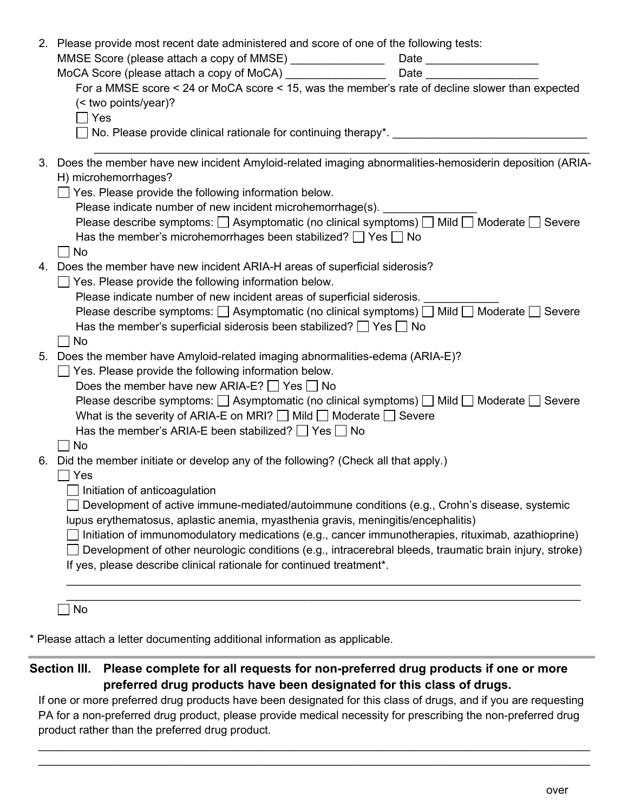| 2. Please provide most recent date administered and score of one of the following tests:                                                                                                                                                                                                                                                                                                                                                                                                                                                                                                                  |                            |
|-----------------------------------------------------------------------------------------------------------------------------------------------------------------------------------------------------------------------------------------------------------------------------------------------------------------------------------------------------------------------------------------------------------------------------------------------------------------------------------------------------------------------------------------------------------------------------------------------------------|----------------------------|
| MMSE Score (please attach a copy of MMSE) ________________                                                                                                                                                                                                                                                                                                                                                                                                                                                                                                                                                | Date _____________________ |
|                                                                                                                                                                                                                                                                                                                                                                                                                                                                                                                                                                                                           |                            |
| For a MMSE score < 24 or MoCA score < 15, was the member's rate of decline slower than expected<br>(< two points/year)?<br>Yes<br>□ No. Please provide clinical rationale for continuing therapy*.  □ No. Please provide clinical rationale for continuing therapy*.                                                                                                                                                                                                                                                                                                                                      |                            |
| 3. Does the member have new incident Amyloid-related imaging abnormalities-hemosiderin deposition (ARIA-<br>H) microhemorrhages?<br>$\Box$ Yes. Please provide the following information below.<br>Please indicate number of new incident microhemorrhage(s).<br>Please describe symptoms: □ Asymptomatic (no clinical symptoms) □ Mild □ Moderate □ Severe<br>Has the member's microhemorrhages been stabilized? $\Box$ Yes $\Box$ No<br>No                                                                                                                                                              |                            |
| 4. Does the member have new incident ARIA-H areas of superficial siderosis?<br>$\Box$ Yes. Please provide the following information below.<br>Please indicate number of new incident areas of superficial siderosis.<br>Please describe symptoms: $\Box$ Asymptomatic (no clinical symptoms) $\Box$ Mild $\Box$ Moderate $\Box$ Severe<br>Has the member's superficial siderosis been stabilized? $\Box$ Yes $\Box$ No<br>No.                                                                                                                                                                             |                            |
| 5. Does the member have Amyloid-related imaging abnormalities-edema (ARIA-E)?<br>$\Box$ Yes. Please provide the following information below.<br>Does the member have new ARIA-E? $\Box$ Yes $\Box$ No<br>Please describe symptoms: $\Box$ Asymptomatic (no clinical symptoms) $\Box$ Mild $\Box$ Moderate $\Box$ Severe<br>What is the severity of ARIA-E on MRI? $\Box$ Mild $\Box$ Moderate $\Box$ Severe<br>Has the member's ARIA-E been stabilized? $\Box$ Yes $\Box$ No<br>No                                                                                                                        |                            |
| 6. Did the member initiate or develop any of the following? (Check all that apply.)<br>Yes<br>Initiation of anticoagulation<br>Development of active immune-mediated/autoimmune conditions (e.g., Crohn's disease, systemic<br>lupus erythematosus, aplastic anemia, myasthenia gravis, meningitis/encephalitis)<br>Initiation of immunomodulatory medications (e.g., cancer immunotherapies, rituximab, azathioprine)<br>Development of other neurologic conditions (e.g., intracerebral bleeds, traumatic brain injury, stroke)<br>If yes, please describe clinical rationale for continued treatment*. |                            |
|                                                                                                                                                                                                                                                                                                                                                                                                                                                                                                                                                                                                           |                            |

No

\* Please attach a letter documenting additional information as applicable.

## **Section III. Please complete for all requests for non-preferred drug products if one or more preferred drug products have been designated for this class of drugs.**

If one or more preferred drug products have been designated for this class of drugs, and if you are requesting PA for a non-preferred drug product, please provide medical necessity for prescribing the non-preferred drug product rather than the preferred drug product.

 $\_$  , and the set of the set of the set of the set of the set of the set of the set of the set of the set of the set of the set of the set of the set of the set of the set of the set of the set of the set of the set of th  $\_$  . The contribution of the contribution of the contribution of the contribution of the contribution of the contribution of the contribution of the contribution of the contribution of the contribution of the contributio